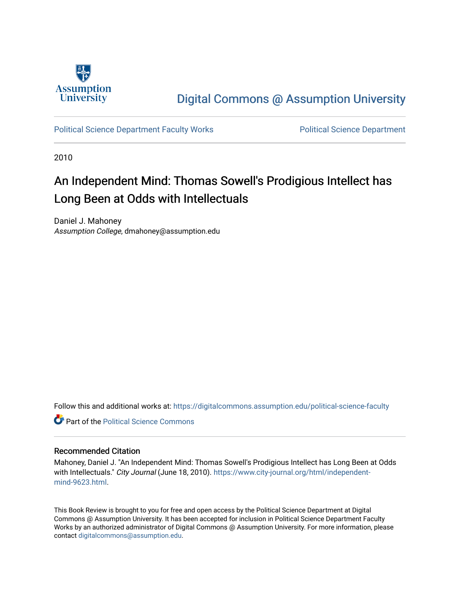

## [Digital Commons @ Assumption University](https://digitalcommons.assumption.edu/)

[Political Science Department Faculty Works](https://digitalcommons.assumption.edu/political-science-faculty) **Political Science Department** 

2010

# An Independent Mind: Thomas Sowell's Prodigious Intellect has Long Been at Odds with Intellectuals

Daniel J. Mahoney Assumption College, dmahoney@assumption.edu

Follow this and additional works at: [https://digitalcommons.assumption.edu/political-science-faculty](https://digitalcommons.assumption.edu/political-science-faculty?utm_source=digitalcommons.assumption.edu%2Fpolitical-science-faculty%2F58&utm_medium=PDF&utm_campaign=PDFCoverPages)

**C** Part of the Political Science Commons

#### Recommended Citation

Mahoney, Daniel J. "An Independent Mind: Thomas Sowell's Prodigious Intellect has Long Been at Odds with Intellectuals." City Journal (June 18, 2010). [https://www.city-journal.org/html/independent](https://www.city-journal.org/html/independent-mind-9623.html)[mind-9623.html](https://www.city-journal.org/html/independent-mind-9623.html).

This Book Review is brought to you for free and open access by the Political Science Department at Digital Commons @ Assumption University. It has been accepted for inclusion in Political Science Department Faculty Works by an authorized administrator of Digital Commons @ Assumption University. For more information, please contact [digitalcommons@assumption.edu.](mailto:digitalcommons@assumption.edu)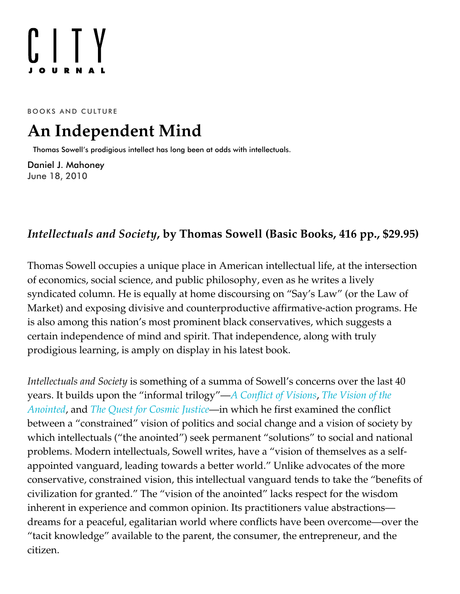# $[]$   $[$   $]$

BOOKS AND CULTURE

# **An Independent Mind**

Thomas Sowell's prodigious intellect has long been at odds with intellectuals.

[Daniel J. Mahoney](https://www.city-journal.org/contributor/daniel-j-mahoney_578) June 18, 2010

### *[Intellectuals](http://www.amazon.com/exec/obidos/ASIN/046501948X/manhattaninstitu/) and Society***, by Thomas Sowell (Basic Books, 416 pp., \$29.95)**

Thomas Sowell occupies a unique place in American intellectual life, at the intersection of economics, social science, and public philosophy, even as he writes a lively syndicated column. He is equally at home discoursing on "Say's Law" (or the Law of Market) and exposing divisive and counterproductive affirmative-action programs. He is also among this nation's most prominent black conservatives, which suggests a certain independence of mind and spirit. That independence, along with truly prodigious learning, is amply on display in his latest book.

*Intellectuals and Society* is something of a summa of Sowell's concerns over the last 40 [years. It builds upon the "informal trilogy"—](http://www.amazon.com/exec/obidos/ASIN/046508995X/manhattaninstitu/)*[A Conflict of Visions](http://www.amazon.com/exec/obidos/ASIN/0465002056/manhattaninstitu/)*, *The Vision of the Anointed*, and *[The Quest for Cosmic Justice](http://www.amazon.com/exec/obidos/ASIN/0684864630/manhattaninstitu/)*—in which he first examined the conflict between a "constrained" vision of politics and social change and a vision of society by which intellectuals ("the anointed") seek permanent "solutions" to social and national problems. Modern intellectuals, Sowell writes, have a "vision of themselves as a selfappointed vanguard, leading towards a better world." Unlike advocates of the more conservative, constrained vision, this intellectual vanguard tends to take the "benefits of civilization for granted." The "vision of the anointed" lacks respect for the wisdom inherent in experience and common opinion. Its practitioners value abstractions dreams for a peaceful, egalitarian world where conflicts have been overcome—over the "tacit knowledge" available to the parent, the consumer, the entrepreneur, and the citizen.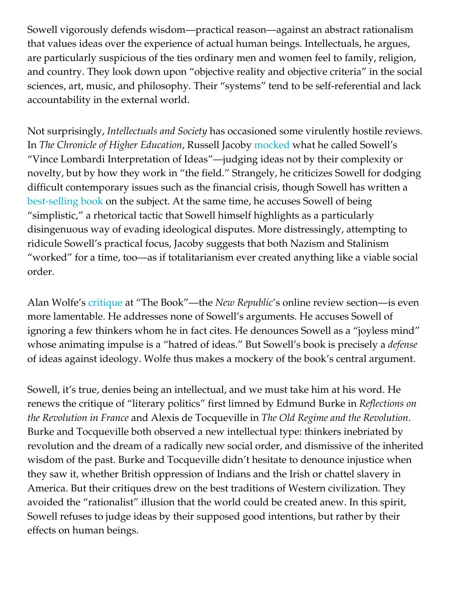Sowell vigorously defends wisdom—practical reason—against an abstract rationalism that values ideas over the experience of actual human beings. Intellectuals, he argues, are particularly suspicious of the ties ordinary men and women feel to family, religion, and country. They look down upon "objective reality and objective criteria" in the social sciences, art, music, and philosophy. Their "systems" tend to be self-referential and lack accountability in the external world.

Not surprisingly, *Intellectuals and Society* has occasioned some virulently hostile reviews. In *The Chronicle of Higher Education*, Russell Jacoby [mocked](http://chronicle.com/article/Skewering-Intellectuals/64113) what he called Sowell's "Vince Lombardi Interpretation of Ideas"—judging ideas not by their complexity or novelty, but by how they work in "the field." Strangely, he criticizes Sowell for dodging difficult contemporary issues such as the financial crisis, though Sowell has written a [best-selling book](http://www.amazon.com/exec/obidos/ASIN/0465019862/manhattaninstitu/) on the subject. At the same time, he accuses Sowell of being "simplistic," a rhetorical tactic that Sowell himself highlights as a particularly disingenuous way of evading ideological disputes. More distressingly, attempting to ridicule Sowell's practical focus, Jacoby suggests that both Nazism and Stalinism "worked" for a time, too—as if totalitarianism ever created anything like a viable social order.

Alan Wolfe's [critique](http://www.tnr.com/book/review/the-joyless-mind) at "The Book"—the *New Republic*'s online review section—is even more lamentable. He addresses none of Sowell's arguments. He accuses Sowell of ignoring a few thinkers whom he in fact cites. He denounces Sowell as a "joyless mind" whose animating impulse is a "hatred of ideas." But Sowell's book is precisely a *defense* of ideas against ideology. Wolfe thus makes a mockery of the book's central argument.

Sowell, it's true, denies being an intellectual, and we must take him at his word. He renews the critique of "literary politics" first limned by Edmund Burke in *Reflections on the Revolution in France* and Alexis de Tocqueville in *The Old Regime and the Revolution*. Burke and Tocqueville both observed a new intellectual type: thinkers inebriated by revolution and the dream of a radically new social order, and dismissive of the inherited wisdom of the past. Burke and Tocqueville didn't hesitate to denounce injustice when they saw it, whether British oppression of Indians and the Irish or chattel slavery in America. But their critiques drew on the best traditions of Western civilization. They avoided the "rationalist" illusion that the world could be created anew. In this spirit, Sowell refuses to judge ideas by their supposed good intentions, but rather by their effects on human beings.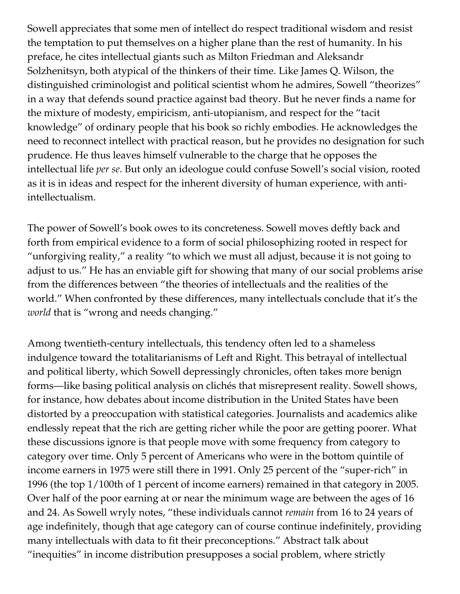Sowell appreciates that some men of intellect do respect traditional wisdom and resist the temptation to put themselves on a higher plane than the rest of humanity. In his preface, he cites intellectual giants such as Milton Friedman and Aleksandr Solzhenitsyn, both atypical of the thinkers of their time. Like James Q. Wilson, the distinguished criminologist and political scientist whom he admires, Sowell "theorizes" in a way that defends sound practice against bad theory. But he never finds a name for the mixture of modesty, empiricism, anti-utopianism, and respect for the "tacit knowledge" of ordinary people that his book so richly embodies. He acknowledges the need to reconnect intellect with practical reason, but he provides no designation for such prudence. He thus leaves himself vulnerable to the charge that he opposes the intellectual life *per se*. But only an ideologue could confuse Sowell's social vision, rooted as it is in ideas and respect for the inherent diversity of human experience, with antiintellectualism.

The power of Sowell's book owes to its concreteness. Sowell moves deftly back and forth from empirical evidence to a form of social philosophizing rooted in respect for "unforgiving reality," a reality "to which we must all adjust, because it is not going to adjust to us." He has an enviable gift for showing that many of our social problems arise from the differences between "the theories of intellectuals and the realities of the world." When confronted by these differences, many intellectuals conclude that it's the *world* that is "wrong and needs changing."

Among twentieth-century intellectuals, this tendency often led to a shameless indulgence toward the totalitarianisms of Left and Right. This betrayal of intellectual and political liberty, which Sowell depressingly chronicles, often takes more benign forms—like basing political analysis on clichés that misrepresent reality. Sowell shows, for instance, how debates about income distribution in the United States have been distorted by a preoccupation with statistical categories. Journalists and academics alike endlessly repeat that the rich are getting richer while the poor are getting poorer. What these discussions ignore is that people move with some frequency from category to category over time. Only 5 percent of Americans who were in the bottom quintile of income earners in 1975 were still there in 1991. Only 25 percent of the "super-rich" in 1996 (the top 1/100th of 1 percent of income earners) remained in that category in 2005. Over half of the poor earning at or near the minimum wage are between the ages of 16 and 24. As Sowell wryly notes, "these individuals cannot *remain* from 16 to 24 years of age indefinitely, though that age category can of course continue indefinitely, providing many intellectuals with data to fit their preconceptions." Abstract talk about "inequities" in income distribution presupposes a social problem, where strictly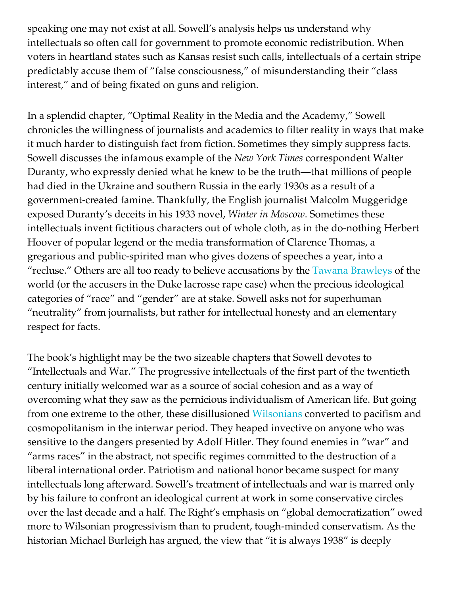speaking one may not exist at all. Sowell's analysis helps us understand why intellectuals so often call for government to promote economic redistribution. When voters in heartland states such as Kansas resist such calls, intellectuals of a certain stripe predictably accuse them of "false consciousness," of misunderstanding their "class interest," and of being fixated on guns and religion.

In a splendid chapter, "Optimal Reality in the Media and the Academy," Sowell chronicles the willingness of journalists and academics to filter reality in ways that make it much harder to distinguish fact from fiction. Sometimes they simply suppress facts. Sowell discusses the infamous example of the *New York Times* correspondent Walter Duranty, who expressly denied what he knew to be the truth—that millions of people had died in the Ukraine and southern Russia in the early 1930s as a result of a government-created famine. Thankfully, the English journalist Malcolm Muggeridge exposed Duranty's deceits in his 1933 novel, *Winter in Moscow*. Sometimes these intellectuals invent fictitious characters out of whole cloth, as in the do-nothing Herbert Hoover of popular legend or the media transformation of Clarence Thomas, a gregarious and public-spirited man who gives dozens of speeches a year, into a "recluse." Others are all too ready to believe accusations by the [Tawana Brawleys](http://www.slate.com/id/2087557) of the world (or the accusers in the Duke lacrosse rape case) when the precious ideological categories of "race" and "gender" are at stake. Sowell asks not for superhuman "neutrality" from journalists, but rather for intellectual honesty and an elementary respect for facts.

The book's highlight may be the two sizeable chapters that Sowell devotes to "Intellectuals and War." The progressive intellectuals of the first part of the twentieth century initially welcomed war as a source of social cohesion and as a way of overcoming what they saw as the pernicious individualism of American life. But going from one extreme to the other, these disillusioned [Wilsonians](https://www.city-journal.org/2009/eon1122fs.html) converted to pacifism and cosmopolitanism in the interwar period. They heaped invective on anyone who was sensitive to the dangers presented by Adolf Hitler. They found enemies in "war" and "arms races" in the abstract, not specific regimes committed to the destruction of a liberal international order. Patriotism and national honor became suspect for many intellectuals long afterward. Sowell's treatment of intellectuals and war is marred only by his failure to confront an ideological current at work in some conservative circles over the last decade and a half. The Right's emphasis on "global democratization" owed more to Wilsonian progressivism than to prudent, tough-minded conservatism. As the historian Michael Burleigh has argued, the view that "it is always 1938" is deeply